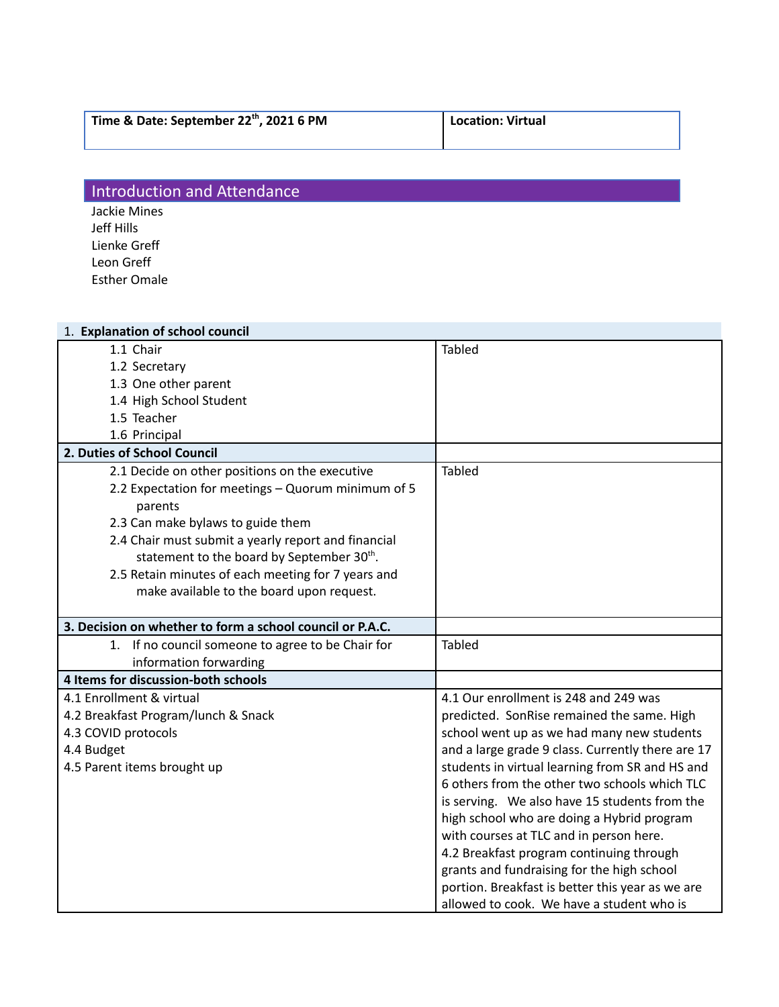| Time & Date: September 22 <sup>th</sup> , 2021 6 PM | Location: Virtual |
|-----------------------------------------------------|-------------------|
|                                                     |                   |

## **Introduction and Attendance**

Jackie Mines Jeff Hills Lienke Greff Leon Greff Esther Omale

| 1. Explanation of school council                          |                                                   |
|-----------------------------------------------------------|---------------------------------------------------|
| 1.1 Chair                                                 | <b>Tabled</b>                                     |
| 1.2 Secretary                                             |                                                   |
| 1.3 One other parent                                      |                                                   |
| 1.4 High School Student                                   |                                                   |
| 1.5 Teacher                                               |                                                   |
| 1.6 Principal                                             |                                                   |
| 2. Duties of School Council                               |                                                   |
| 2.1 Decide on other positions on the executive            | <b>Tabled</b>                                     |
| 2.2 Expectation for meetings - Quorum minimum of 5        |                                                   |
| parents                                                   |                                                   |
| 2.3 Can make bylaws to guide them                         |                                                   |
| 2.4 Chair must submit a yearly report and financial       |                                                   |
| statement to the board by September 30th.                 |                                                   |
| 2.5 Retain minutes of each meeting for 7 years and        |                                                   |
| make available to the board upon request.                 |                                                   |
|                                                           |                                                   |
| 3. Decision on whether to form a school council or P.A.C. |                                                   |
| 1. If no council someone to agree to be Chair for         | <b>Tabled</b>                                     |
| information forwarding                                    |                                                   |
| 4 Items for discussion-both schools                       |                                                   |
| 4.1 Enrollment & virtual                                  | 4.1 Our enrollment is 248 and 249 was             |
| 4.2 Breakfast Program/lunch & Snack                       | predicted. SonRise remained the same. High        |
| 4.3 COVID protocols                                       | school went up as we had many new students        |
| 4.4 Budget                                                | and a large grade 9 class. Currently there are 17 |
| 4.5 Parent items brought up                               | students in virtual learning from SR and HS and   |
|                                                           | 6 others from the other two schools which TLC     |
|                                                           | is serving. We also have 15 students from the     |
|                                                           | high school who are doing a Hybrid program        |
|                                                           | with courses at TLC and in person here.           |
|                                                           |                                                   |
|                                                           | 4.2 Breakfast program continuing through          |
|                                                           | grants and fundraising for the high school        |
|                                                           | portion. Breakfast is better this year as we are  |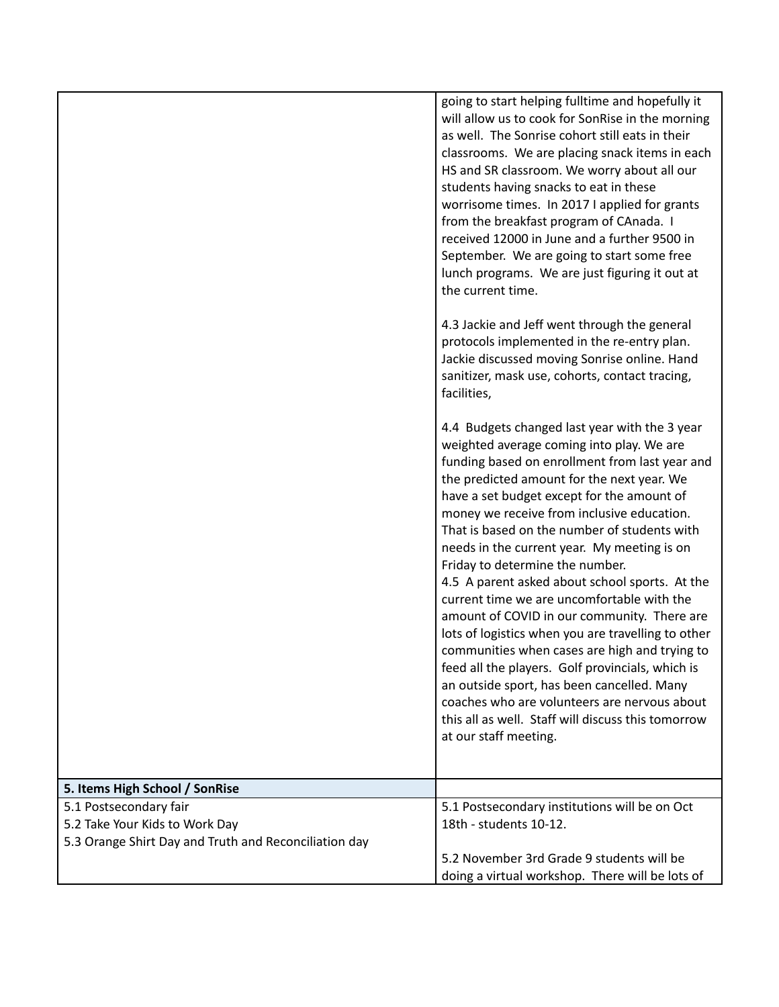|                                                                                                                   | going to start helping fulltime and hopefully it<br>will allow us to cook for SonRise in the morning<br>as well. The Sonrise cohort still eats in their<br>classrooms. We are placing snack items in each<br>HS and SR classroom. We worry about all our<br>students having snacks to eat in these<br>worrisome times. In 2017 I applied for grants<br>from the breakfast program of CAnada. I<br>received 12000 in June and a further 9500 in<br>September. We are going to start some free<br>lunch programs. We are just figuring it out at<br>the current time.<br>4.3 Jackie and Jeff went through the general<br>protocols implemented in the re-entry plan.<br>Jackie discussed moving Sonrise online. Hand<br>sanitizer, mask use, cohorts, contact tracing,<br>facilities,<br>4.4 Budgets changed last year with the 3 year<br>weighted average coming into play. We are<br>funding based on enrollment from last year and<br>the predicted amount for the next year. We<br>have a set budget except for the amount of<br>money we receive from inclusive education.<br>That is based on the number of students with<br>needs in the current year. My meeting is on<br>Friday to determine the number.<br>4.5 A parent asked about school sports. At the |
|-------------------------------------------------------------------------------------------------------------------|-------------------------------------------------------------------------------------------------------------------------------------------------------------------------------------------------------------------------------------------------------------------------------------------------------------------------------------------------------------------------------------------------------------------------------------------------------------------------------------------------------------------------------------------------------------------------------------------------------------------------------------------------------------------------------------------------------------------------------------------------------------------------------------------------------------------------------------------------------------------------------------------------------------------------------------------------------------------------------------------------------------------------------------------------------------------------------------------------------------------------------------------------------------------------------------------------------------------------------------------------------------------|
|                                                                                                                   | current time we are uncomfortable with the<br>amount of COVID in our community. There are<br>lots of logistics when you are travelling to other<br>communities when cases are high and trying to<br>feed all the players. Golf provincials, which is<br>an outside sport, has been cancelled. Many<br>coaches who are volunteers are nervous about<br>this all as well. Staff will discuss this tomorrow<br>at our staff meeting.                                                                                                                                                                                                                                                                                                                                                                                                                                                                                                                                                                                                                                                                                                                                                                                                                                 |
| 5. Items High School / SonRise                                                                                    |                                                                                                                                                                                                                                                                                                                                                                                                                                                                                                                                                                                                                                                                                                                                                                                                                                                                                                                                                                                                                                                                                                                                                                                                                                                                   |
| 5.1 Postsecondary fair<br>5.2 Take Your Kids to Work Day<br>5.3 Orange Shirt Day and Truth and Reconciliation day | 5.1 Postsecondary institutions will be on Oct<br>18th - students 10-12.                                                                                                                                                                                                                                                                                                                                                                                                                                                                                                                                                                                                                                                                                                                                                                                                                                                                                                                                                                                                                                                                                                                                                                                           |
|                                                                                                                   | 5.2 November 3rd Grade 9 students will be<br>doing a virtual workshop. There will be lots of                                                                                                                                                                                                                                                                                                                                                                                                                                                                                                                                                                                                                                                                                                                                                                                                                                                                                                                                                                                                                                                                                                                                                                      |